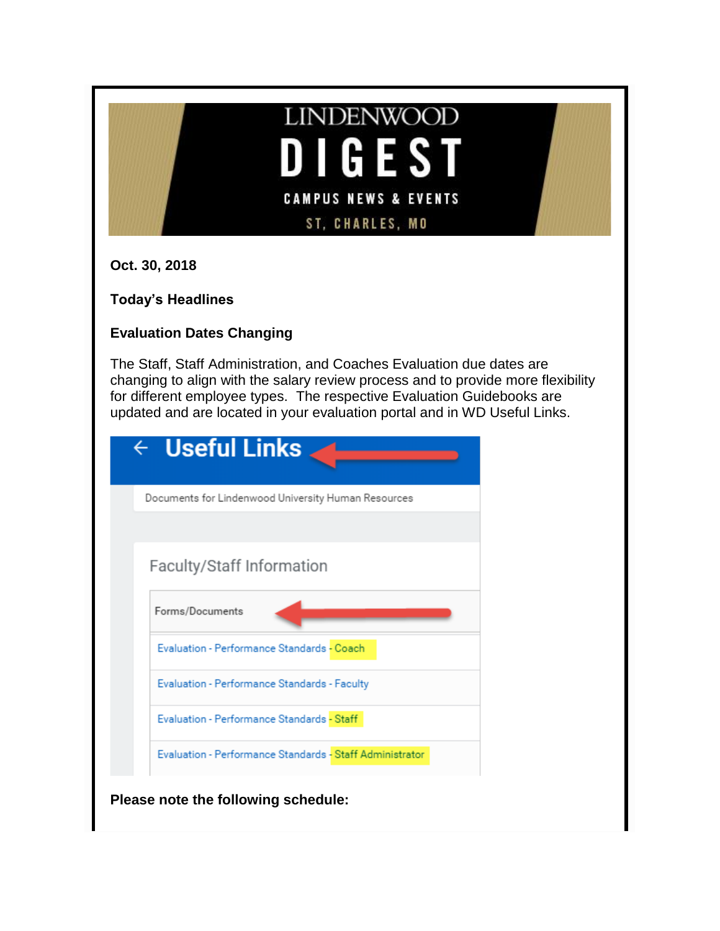# **LINDENWOOD DIGEST CAMPUS NEWS & EVENTS** ST, CHARLES, MO

**Oct. 30, 2018**

**Today's Headlines**

# **Evaluation Dates Changing**

The Staff, Staff Administration, and Coaches Evaluation due dates are changing to align with the salary review process and to provide more flexibility for different employee types. The respective Evaluation Guidebooks are updated and are located in your evaluation portal and in WD Useful Links.

| $\leftarrow$ Useful Links                                |
|----------------------------------------------------------|
| Documents for Lindenwood University Human Resources      |
|                                                          |
| Faculty/Staff Information                                |
| Forms/Documents                                          |
| Evaluation - Performance Standards - Coach               |
| Evaluation - Performance Standards - Faculty             |
| Evaluation - Performance Standards - Staff               |
| Evaluation - Performance Standards - Staff Administrator |
| Please note the following schedule:                      |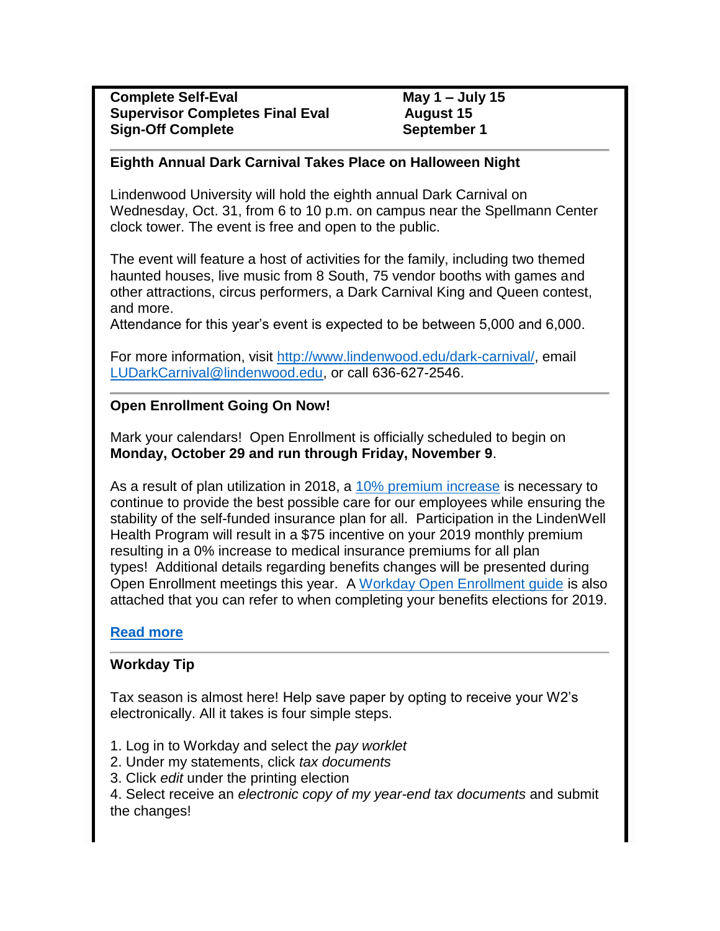#### **Eighth Annual Dark Carnival Takes Place on Halloween Night**

Lindenwood University will hold the eighth annual Dark Carnival on Wednesday, Oct. 31, from 6 to 10 p.m. on campus near the Spellmann Center clock tower. The event is free and open to the public.

The event will feature a host of activities for the family, including two themed haunted houses, live music from 8 South, 75 vendor booths with games and other attractions, circus performers, a Dark Carnival King and Queen contest, and more.

Attendance for this year's event is expected to be between 5,000 and 6,000.

For more information, visit [http://www.lindenwood.edu/dark-carnival/,](http://www.lindenwood.edu/dark-carnival/) email [LUDarkCarnival@lindenwood.edu,](mailto:LUDarkCarnival@lindenwood.edu) or call 636-627-2546.

# **Open Enrollment Going On Now!**

Mark your calendars! Open Enrollment is officially scheduled to begin on **Monday, October 29 and run through Friday, November 9**.

As a result of plan utilization in 2018, a [10% premium increase](http://felix.lindenwood.edu/newsletter/2018_10/contributions.pdf) is necessary to continue to provide the best possible care for our employees while ensuring the stability of the self-funded insurance plan for all. Participation in the LindenWell Health Program will result in a \$75 incentive on your 2019 monthly premium resulting in a 0% increase to medical insurance premiums for all plan types! Additional details regarding benefits changes will be presented during Open Enrollment meetings this year. A [Workday Open Enrollment guide](http://felix.lindenwood.edu/newsletter/2018_10/2019openenrollmentguide.pdf) is also attached that you can refer to when completing your benefits elections for 2019.

# **[Read more](http://felix.lindenwood.edu/newsletter/2018_10/openenrollment.pdf)**

# **Workday Tip**

Tax season is almost here! Help save paper by opting to receive your W2's electronically. All it takes is four simple steps.

- 1. Log in to Workday and select the *pay worklet*
- 2. Under my statements, click *tax documents*
- 3. Click *edit* under the printing election

4. Select receive an *electronic copy of my year-end tax documents* and submit the changes!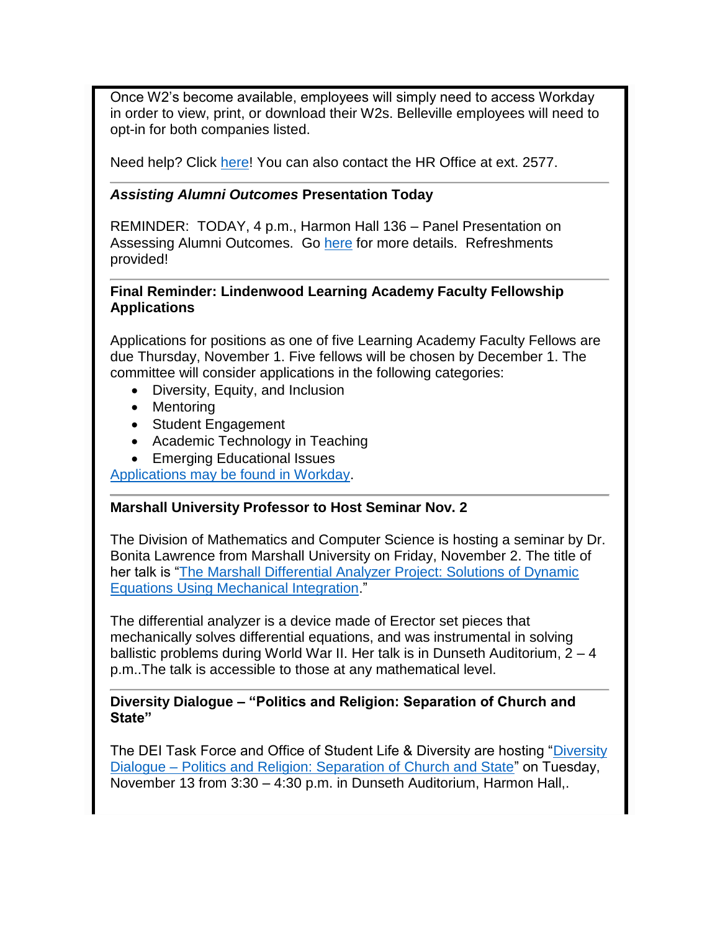Once W2's become available, employees will simply need to access Workday in order to view, print, or download their W2s. Belleville employees will need to opt-in for both companies listed.

Need help? Click [here!](http://felix.lindenwood.edu/newsletter/2018_10/w2.pdf) You can also contact the HR Office at ext. 2577.

#### *Assisting Alumni Outcomes* **Presentation Today**

REMINDER: TODAY, 4 p.m., Harmon Hall 136 – Panel Presentation on Assessing Alumni Outcomes. Go [here](https://lindenwood.libguides.com/ld.php?content_id=44646833) for more details. Refreshments provided!

#### **Final Reminder: Lindenwood Learning Academy Faculty Fellowship Applications**

Applications for positions as one of five Learning Academy Faculty Fellows are due Thursday, November 1. Five fellows will be chosen by December 1. The committee will consider applications in the following categories:

- Diversity, Equity, and Inclusion
- Mentoring
- Student Engagement
- Academic Technology in Teaching
- Emerging Educational Issues

[Applications may be found in Workday.](https://www.myworkday.com/lindenwood/d/inst/15$158872/9925$4177.htmld)

# **Marshall University Professor to Host Seminar Nov. 2**

The Division of Mathematics and Computer Science is hosting a seminar by Dr. Bonita Lawrence from Marshall University on Friday, November 2. The title of her talk is ["The Marshall Differential Analyzer Project: Solutions of Dynamic](http://felix.lindenwood.edu/newsletter/2018_10/lawrence.pdf)  [Equations Using Mechanical Integration.](http://felix.lindenwood.edu/newsletter/2018_10/lawrence.pdf)"

The differential analyzer is a device made of Erector set pieces that mechanically solves differential equations, and was instrumental in solving ballistic problems during World War II. Her talk is in Dunseth Auditorium, 2 – 4 p.m..The talk is accessible to those at any mathematical level.

#### **Diversity Dialogue – "Politics and Religion: Separation of Church and State"**

The DEI Task Force and Office of Student Life & Diversity are hosting "Diversity Dialogue – [Politics and Religion: Separation of Church and State"](http://felix.lindenwood.edu/newsletter/2018_10/diversitydialogue.pdf) on Tuesday, November 13 from 3:30 – 4:30 p.m. in Dunseth Auditorium, Harmon Hall,.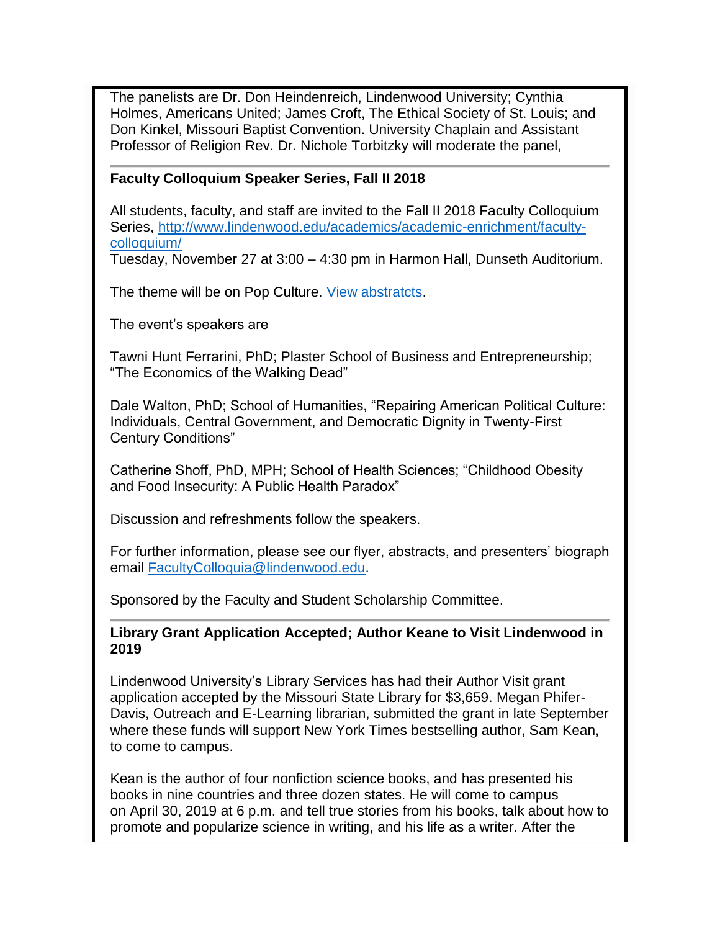The panelists are Dr. Don Heindenreich, Lindenwood University; Cynthia Holmes, Americans United; James Croft, The Ethical Society of St. Louis; and Don Kinkel, Missouri Baptist Convention. University Chaplain and Assistant Professor of Religion Rev. Dr. Nichole Torbitzky will moderate the panel,

#### **Faculty Colloquium Speaker Series, Fall II 2018**

All students, faculty, and staff are invited to the Fall II 2018 Faculty Colloquium Series, [http://www.lindenwood.edu/academics/academic-enrichment/faculty](http://www.lindenwood.edu/academics/academic-enrichment/faculty-colloquium/)[colloquium/](http://www.lindenwood.edu/academics/academic-enrichment/faculty-colloquium/)

Tuesday, November 27 at 3:00 – 4:30 pm in Harmon Hall, Dunseth Auditorium.

The theme will be on Pop Culture. [View abstratcts.](http://felix.lindenwood.edu/newsletter/2018_10/abstracts.pdf)

The event's speakers are

Tawni Hunt Ferrarini, PhD; Plaster School of Business and Entrepreneurship; "The Economics of the Walking Dead"

Dale Walton, PhD; School of Humanities, "Repairing American Political Culture: Individuals, Central Government, and Democratic Dignity in Twenty-First Century Conditions"

Catherine Shoff, PhD, MPH; School of Health Sciences; "Childhood Obesity and Food Insecurity: A Public Health Paradox"

Discussion and refreshments follow the speakers.

For further information, please see our flyer, abstracts, and presenters' biograph email [FacultyColloquia@lindenwood.edu.](mailto:FacultyColloquia@lindenwood.edu)

Sponsored by the Faculty and Student Scholarship Committee.

**Library Grant Application Accepted; Author Keane to Visit Lindenwood in 2019**

Lindenwood University's Library Services has had their Author Visit grant application accepted by the Missouri State Library for \$3,659. Megan Phifer-Davis, Outreach and E-Learning librarian, submitted the grant in late September where these funds will support New York Times bestselling author, Sam Kean, to come to campus.

Kean is the author of four nonfiction science books, and has presented his books in nine countries and three dozen states. He will come to campus on April 30, 2019 at 6 p.m. and tell true stories from his books, talk about how to promote and popularize science in writing, and his life as a writer. After the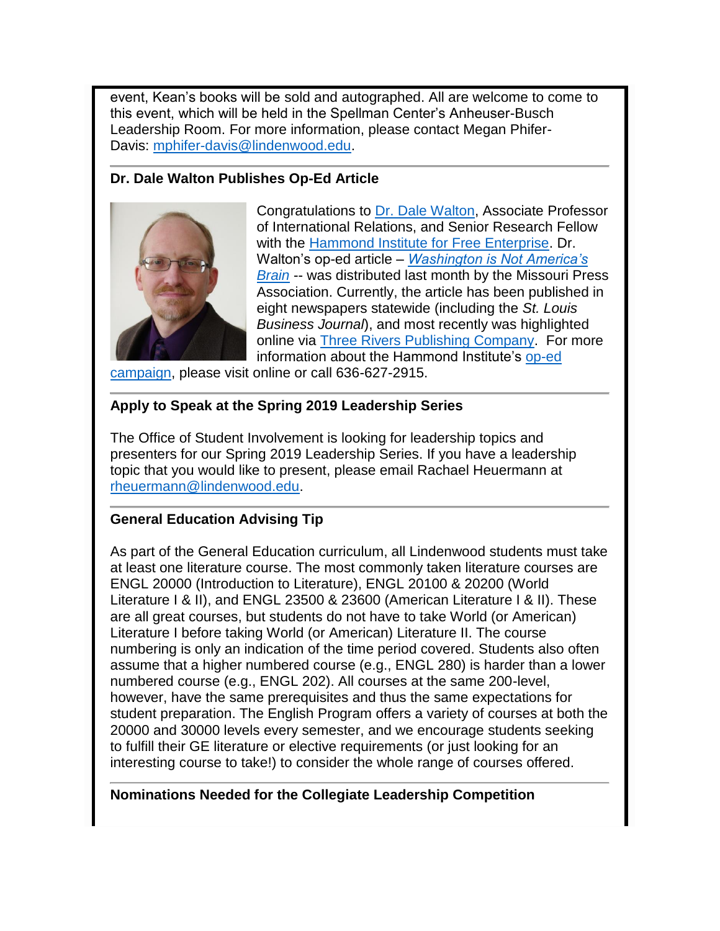event, Kean's books will be sold and autographed. All are welcome to come to this event, which will be held in the Spellman Center's Anheuser-Busch Leadership Room. For more information, please contact Megan Phifer-Davis: [mphifer-davis@lindenwood.edu.](mailto:mphifer-davis@lindenwood.edu)

#### **Dr. Dale Walton Publishes Op-Ed Article**



Congratulations to [Dr. Dale Walton,](https://www.hammondinstitute.org/dale-walton) Associate Professor of International Relations, and Senior Research Fellow with the [Hammond Institute for Free Enterprise.](https://www.hammondinstitute.org/) Dr. Walton's op-ed article – *[Washington is Not America's](http://newzgroup.com/PDFs/9-20/17975-09-11_7001.pdf)  [Brain](http://newzgroup.com/PDFs/9-20/17975-09-11_7001.pdf)* -- was distributed last month by the Missouri Press Association. Currently, the article has been published in eight newspapers statewide (including the *St. Louis Business Journal*), and most recently was highlighted online via [Three Rivers Publishing Company.](https://www.threeriverspublishing.com/TRP3/index.php?option=com_content&view=article&id=32004:washington-is-not-america%E2%80%99s-brain&catid=34&Itemid=213) For more information about the Hammond Institute's [op-ed](https://www.hammondinstitute.org/opeds) 

[campaign,](https://www.hammondinstitute.org/opeds) please visit online or call 636-627-2915.

# **Apply to Speak at the Spring 2019 Leadership Series**

The Office of Student Involvement is looking for leadership topics and presenters for our Spring 2019 Leadership Series. If you have a leadership topic that you would like to present, please email Rachael Heuermann at [rheuermann@lindenwood.edu.](mailto:rheuermann@lindenwood.edu)

# **General Education Advising Tip**

As part of the General Education curriculum, all Lindenwood students must take at least one literature course. The most commonly taken literature courses are ENGL 20000 (Introduction to Literature), ENGL 20100 & 20200 (World Literature I & II), and ENGL 23500 & 23600 (American Literature I & II). These are all great courses, but students do not have to take World (or American) Literature I before taking World (or American) Literature II. The course numbering is only an indication of the time period covered. Students also often assume that a higher numbered course (e.g., ENGL 280) is harder than a lower numbered course (e.g., ENGL 202). All courses at the same 200-level, however, have the same prerequisites and thus the same expectations for student preparation. The English Program offers a variety of courses at both the 20000 and 30000 levels every semester, and we encourage students seeking to fulfill their GE literature or elective requirements (or just looking for an interesting course to take!) to consider the whole range of courses offered.

#### **Nominations Needed for the Collegiate Leadership Competition**